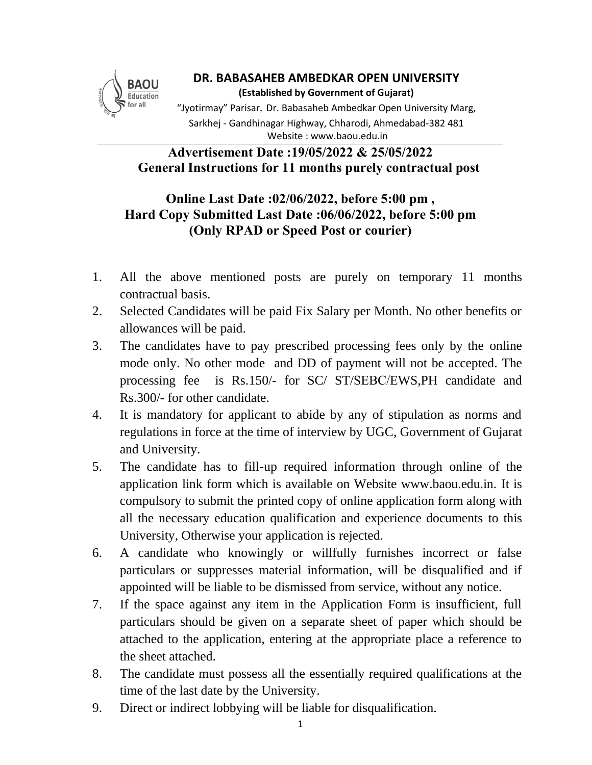

**DR. BABASAHEB AMBEDKAR OPEN UNIVERSITY (Established by Government of Gujarat)** "Jyotirmay" Parisar, Dr. Babasaheb Ambedkar Open University Marg, Sarkhej - Gandhinagar Highway, Chharodi, Ahmedabad-382 481 Website : www.baou.edu.in

## **Advertisement Date :19/05/2022 & 25/05/2022 General Instructions for 11 months purely contractual post**

## **Online Last Date :02/06/2022, before 5:00 pm , Hard Copy Submitted Last Date :06/06/2022, before 5:00 pm (Only RPAD or Speed Post or courier)**

- 1. All the above mentioned posts are purely on temporary 11 months contractual basis.
- 2. Selected Candidates will be paid Fix Salary per Month. No other benefits or allowances will be paid.
- 3. The candidates have to pay prescribed processing fees only by the online mode only. No other mode and DD of payment will not be accepted. The processing fee is Rs.150/- for SC/ ST/SEBC/EWS,PH candidate and Rs.300/- for other candidate.
- 4. It is mandatory for applicant to abide by any of stipulation as norms and regulations in force at the time of interview by UGC, Government of Gujarat and University.
- 5. The candidate has to fill-up required information through online of the application link form which is available on Website www.baou.edu.in. It is compulsory to submit the printed copy of online application form along with all the necessary education qualification and experience documents to this University, Otherwise your application is rejected.
- 6. A candidate who knowingly or willfully furnishes incorrect or false particulars or suppresses material information, will be disqualified and if appointed will be liable to be dismissed from service, without any notice.
- 7. If the space against any item in the Application Form is insufficient, full particulars should be given on a separate sheet of paper which should be attached to the application, entering at the appropriate place a reference to the sheet attached.
- 8. The candidate must possess all the essentially required qualifications at the time of the last date by the University.
- 9. Direct or indirect lobbying will be liable for disqualification.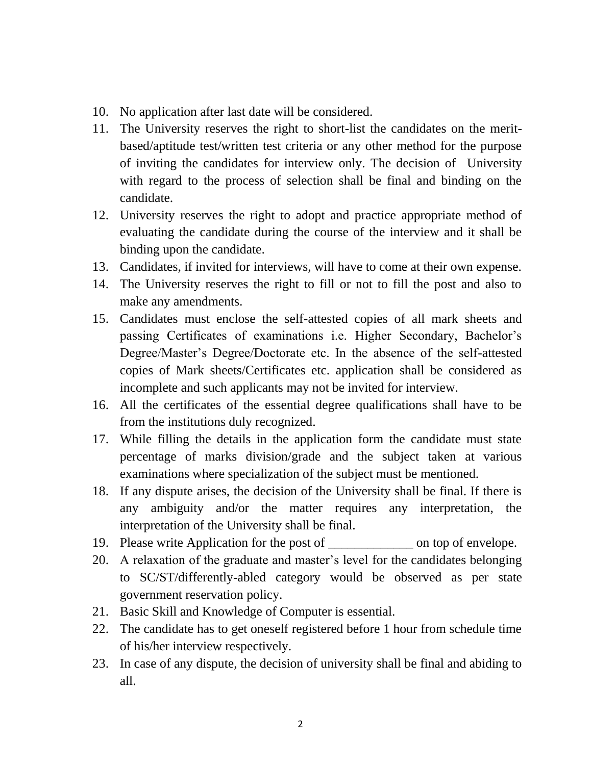- 10. No application after last date will be considered.
- 11. The University reserves the right to short-list the candidates on the meritbased/aptitude test/written test criteria or any other method for the purpose of inviting the candidates for interview only. The decision of University with regard to the process of selection shall be final and binding on the candidate.
- 12. University reserves the right to adopt and practice appropriate method of evaluating the candidate during the course of the interview and it shall be binding upon the candidate.
- 13. Candidates, if invited for interviews, will have to come at their own expense.
- 14. The University reserves the right to fill or not to fill the post and also to make any amendments.
- 15. Candidates must enclose the self-attested copies of all mark sheets and passing Certificates of examinations i.e. Higher Secondary, Bachelor's Degree/Master's Degree/Doctorate etc. In the absence of the self-attested copies of Mark sheets/Certificates etc. application shall be considered as incomplete and such applicants may not be invited for interview.
- 16. All the certificates of the essential degree qualifications shall have to be from the institutions duly recognized.
- 17. While filling the details in the application form the candidate must state percentage of marks division/grade and the subject taken at various examinations where specialization of the subject must be mentioned.
- 18. If any dispute arises, the decision of the University shall be final. If there is any ambiguity and/or the matter requires any interpretation, the interpretation of the University shall be final.
- 19. Please write Application for the post of \_\_\_\_\_\_\_\_\_\_\_\_\_ on top of envelope.
- 20. A relaxation of the graduate and master's level for the candidates belonging to SC/ST/differently-abled category would be observed as per state government reservation policy.
- 21. Basic Skill and Knowledge of Computer is essential.
- 22. The candidate has to get oneself registered before 1 hour from schedule time of his/her interview respectively.
- 23. In case of any dispute, the decision of university shall be final and abiding to all.